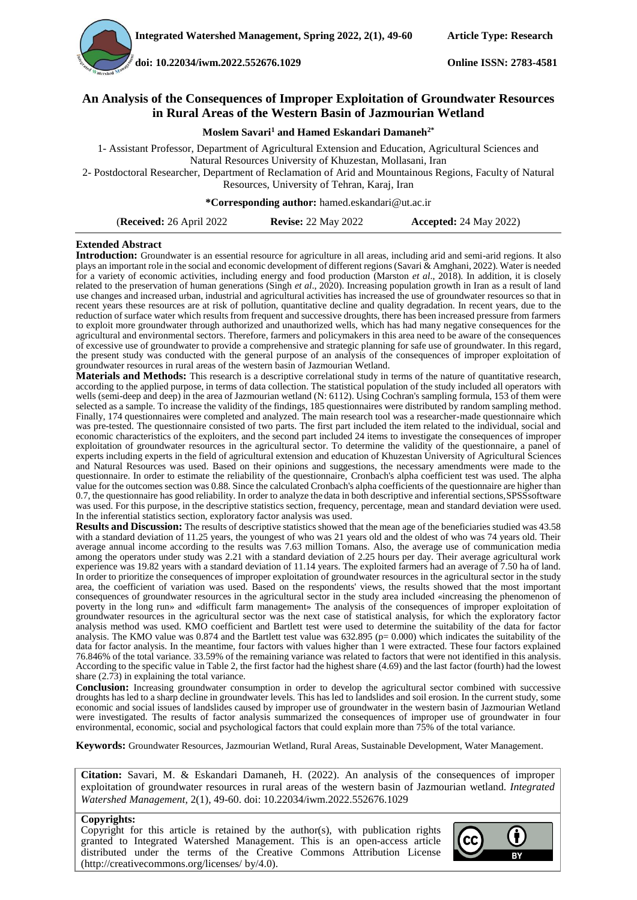**doi[: 10.22034/iwm.2022.552676.1029](https://dx.doi.org/10.22034/iwm.2022.552676.1029) Online ISSN: 2783-4581**

### **An Analysis of the Consequences of Improper Exploitation of Groundwater Resources in Rural Areas of the Western Basin of Jazmourian Wetland**

**Moslem Savari<sup>1</sup> and Hamed Eskandari Damaneh2\***

1- Assistant Professor, Department of Agricultural Extension and Education, Agricultural Sciences and Natural Resources University of Khuzestan, Mollasani, Iran

2- Postdoctoral Researcher, Department of Reclamation of Arid and Mountainous Regions, Faculty of Natural Resources, University of Tehran, Karaj, Iran

**\*Corresponding author:** hamed.eskandari@ut.ac.ir

| <b>(Received:</b> 26 April 2022 | <b>Revise: 22 May 2022</b> | <b>Accepted:</b> 24 May 2022) |
|---------------------------------|----------------------------|-------------------------------|
|---------------------------------|----------------------------|-------------------------------|

#### **Extended Abstract**

**Introduction:** Groundwater is an essential resource for agriculture in all areas, including arid and semi-arid regions. It also plays an important role in the social and economic development of different regions (Savari & Amghani, 2022). Water is needed for a variety of economic activities, including energy and food production (Marston *et al*., 2018). In addition, it is closely related to the preservation of human generations (Singh *et al*., 2020). Increasing population growth in Iran as a result of land use changes and increased urban, industrial and agricultural activities has increased the use of groundwater resources so that in recent years these resources are at risk of pollution, quantitative decline and quality degradation. In recent years, due to the reduction of surface water which results from frequent and successive droughts, there has been increased pressure from farmers to exploit more groundwater through authorized and unauthorized wells, which has had many negative consequences for the agricultural and environmental sectors. Therefore, farmers and policymakers in this area need to be aware of the consequences of excessive use of groundwater to provide a comprehensive and strategic planning for safe use of groundwater. In this regard, the present study was conducted with the general purpose of an analysis of the consequences of improper exploitation of groundwater resources in rural areas of the western basin of Jazmourian Wetland.

**Materials and Methods:** This research is a descriptive correlational study in terms of the nature of quantitative research, according to the applied purpose, in terms of data collection. The statistical population of the study included all operators with wells (semi-deep and deep) in the area of Jazmourian wetland (N: 6112). Using Cochran's sampling formula, 153 of them were selected as a sample. To increase the validity of the findings, 185 questionnaires were distributed by random sampling method. Finally, 174 questionnaires were completed and analyzed. The main research tool was a researcher-made questionnaire which was pre-tested. The questionnaire consisted of two parts. The first part included the item related to the individual, social and economic characteristics of the exploiters, and the second part included 24 items to investigate the consequences of improper exploitation of groundwater resources in the agricultural sector. To determine the validity of the questionnaire, a panel of experts including experts in the field of agricultural extension and education of Khuzestan University of Agricultural Sciences and Natural Resources was used. Based on their opinions and suggestions, the necessary amendments were made to the questionnaire. In order to estimate the reliability of the questionnaire, Cronbach's alpha coefficient test was used. The alpha value for the outcomes section was 0.88. Since the calculated Cronbach's alpha coefficients of the questionnaire are higher than 0.7, the questionnaire has good reliability. In order to analyze the data in both descriptive and inferential sections,SPSSsoftware was used. For this purpose, in the descriptive statistics section, frequency, percentage, mean and standard deviation were used. In the inferential statistics section, exploratory factor analysis was used.

**Results and Discussion:** The results of descriptive statistics showed that the mean age of the beneficiaries studied was 43.58 with a standard deviation of 11.25 years, the youngest of who was 21 years old and the oldest of who was 74 years old. Their average annual income according to the results was 7.63 million Tomans. Also, the average use of communication media among the operators under study was 2.21 with a standard deviation of 2.25 hours per day. Their average agricultural work experience was 19.82 years with a standard deviation of 11.14 years. The exploited farmers had an average of 7.50 ha of land. In order to prioritize the consequences of improper exploitation of groundwater resources in the agricultural sector in the study area, the coefficient of variation was used. Based on the respondents' views, the results showed that the most important consequences of groundwater resources in the agricultural sector in the study area included «increasing the phenomenon of poverty in the long run» and «difficult farm management» The analysis of the consequences of improper exploitation of groundwater resources in the agricultural sector was the next case of statistical analysis, for which the exploratory factor analysis method was used. KMO coefficient and Bartlett test were used to determine the suitability of the data for factor analysis. The KMO value was  $0.874$  and the Bartlett test value was  $632.895$  (p= 0.000) which indicates the suitability of the data for factor analysis. In the meantime, four factors with values higher than 1 were extracted. These four factors explained 76.846% of the total variance. 33.59% of the remaining variance was related to factors that were not identified in this analysis. According to the specific value in Table 2, the first factor had the highest share (4.69) and the last factor (fourth) had the lowest share (2.73) in explaining the total variance.

**Conclusion:** Increasing groundwater consumption in order to develop the agricultural sector combined with successive droughts has led to a sharp decline in groundwater levels. This has led to landslides and soil erosion. In the current study, some economic and social issues of landslides caused by improper use of groundwater in the western basin of Jazmourian Wetland were investigated. The results of factor analysis summarized the consequences of improper use of groundwater in four environmental, economic, social and psychological factors that could explain more than 75% of the total variance.

**Keywords:** Groundwater Resources, Jazmourian Wetland, Rural Areas, Sustainable Development, Water Management.

**Citation:** Savari, M. & Eskandari Damaneh, H. (2022). An analysis of the consequences of improper exploitation of groundwater resources in rural areas of the western basin of Jazmourian wetland. *Integrated Watershed Management*, 2(1), 49-60. doi: [10.22034/iwm.2022.552676.1029](https://dx.doi.org/10.22034/iwm.2022.552676.1029)

#### **Copyrights:**

Copyright for this article is retained by the author(s), with publication rights granted to Integrated Watershed Management. This is an open-access article distributed under the terms of the Creative Commons Attribution License (http://creativecommons.org/licenses/ by/4.0).

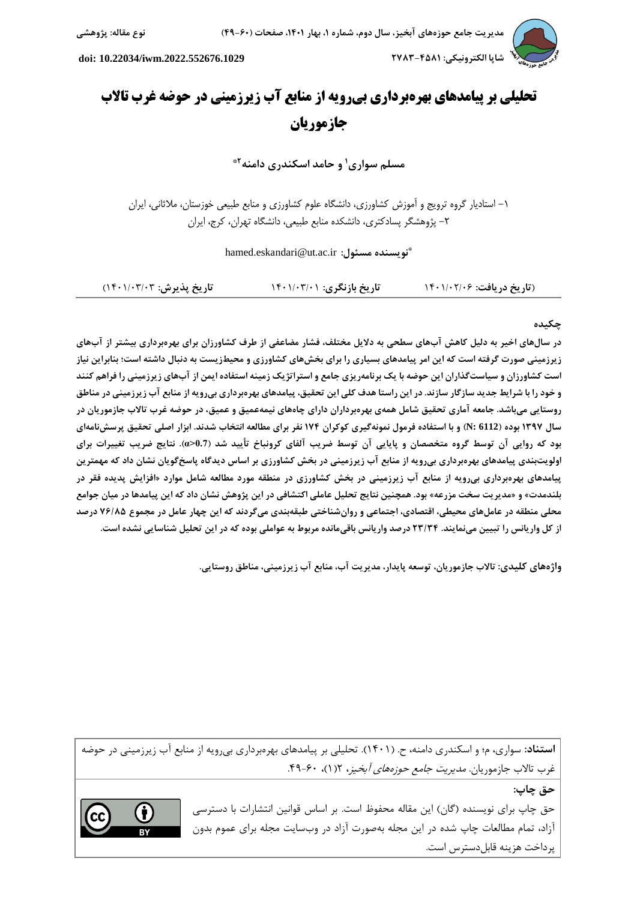

# **تحلیلی بر پیامدهای بهرهبرداری بیرویه از منابع آب زیرزمینی در حوضه غرب تاالب جازموریان**

**3\* و حامد اسکندری دامنه <sup>1</sup> مسلم سواری**

-1 استادیار گروه ترویج و آموزش کشاورزی، دانشگاه علوم کشاورزی و منابع طبیعی خوزستان، مالثانی، ایران -2 پژوهشگر پسادکتری، دانشکده منابع طبیعی، دانشگاه تهران، کرج، ایران

**\*** hamed.eskandari@ut.ac.ir **:مسئول نویسنده**

)**تاریخ دریافت:** 1041/42/40 **تاریخ بازنگری:** 1041/40/41 **تاریخ پذیرش:** 1041/40/40(

## **چکیده**

**در سالهای اخیر به دلیل کاهش آبهای سطحی به دالیل مختلف، فشار مضاعفی از طرف کشاورزان برای بهرهبرداری بیشتر از آبهای زیرزمینی صورت گرفته است که این امر پیامدهای بسیاری را برای بخشهای کشاورزی و محیطزیست به دنبال داشته است؛ بنابراین نیاز است کشاورزان و سیاستگذاران این حوضه با یک برنامهریزی جامع و استراتژیک زمینه استفاده ایمن از آبهای زیرزمینی را فراهم کنند و خود را با شرایط جدید سازگار سازند. در این راستا هدف کلی این تحقیق، پیامدهای بهرهبرداری بیرویه از منابع آب زیرزمینی در مناطق روستایی میباشد. جامعه آماری تحقیق شامل همهی بهرهبرداران دارای چاههای نیمهعمیق و عمیق، در حوضه غرب تاالب جازموریان در سال 1248 بوده )6112 :N )و با استفاده فرمول نمونهگیری کوکران 180 نفر برای مطالعه انتخاب شدند. ابزار اصلی تحقیق پرسشنامهای بود که روایی آن توسط گروه متخصصان و پایایی آن توسط ضریب آلفای کرونباخ تأیید شد )0.7<α). نتایج ضریب تغییرات برای اولویتبندی پیامدهای بهرهبرداری بیرویه از منابع آب زیرزمینی در بخش کشاورزی بر اساس دیدگاه پاسخگویان نشان داد که مهمترین پیامدهای بهرهبرداری بیرویه از منابع آب زیرزمینی در بخش کشاورزی در منطقه مورد مطالعه شامل موارد »افزایش پدیده فقر در**  بلندمدت» و «مدیریت سخت مزرعه» بود. همچنین نتایج تحلیل عاملی اکتشافی در این پژوهش نشان داد که این پیامدها در میان جوامع **محلی منطقه در عاملهای محیطی، اقتصادی، اجتماعی و روانشناختی طبقهبندی میگردند که این چهار عامل در مجموع 80/58 درصد از کل واریانس را تبیین مینمایند. 32/20 درصد واریانس باقیمانده مربوط به عواملی بوده که در این تحلیل شناسایی نشده است.**

**واژههای کلیدی: تاالب جازموریان، توسعه پایدار، مدیریت آب، منابع آب زیرزمینی، مناطق روستایی.**

**استناد:** سواری، م؛ و اسکندری دامنه، ح. )1041(. تحلیلی بر پیامدهای بهرهبرداری بیرویه از منابع آب زیرزمینی در حوضه غرب تالاب جازموریان. *مدیریت جامع حوزههای آبخیز*، ۱(۱)، ۴۰-۴۹.

**حق چاپ:**

A

حق چاپ برای نویسنده (گان) این مقاله محفوظ است. بر اساس قوانین انتشارات با دسترسی آزاد، تمام مطالعات چاپ شده در این مجله بهصورت آزاد در وبسایت مجله برای عموم بدون پرداخت هزینه قابلدسترس است.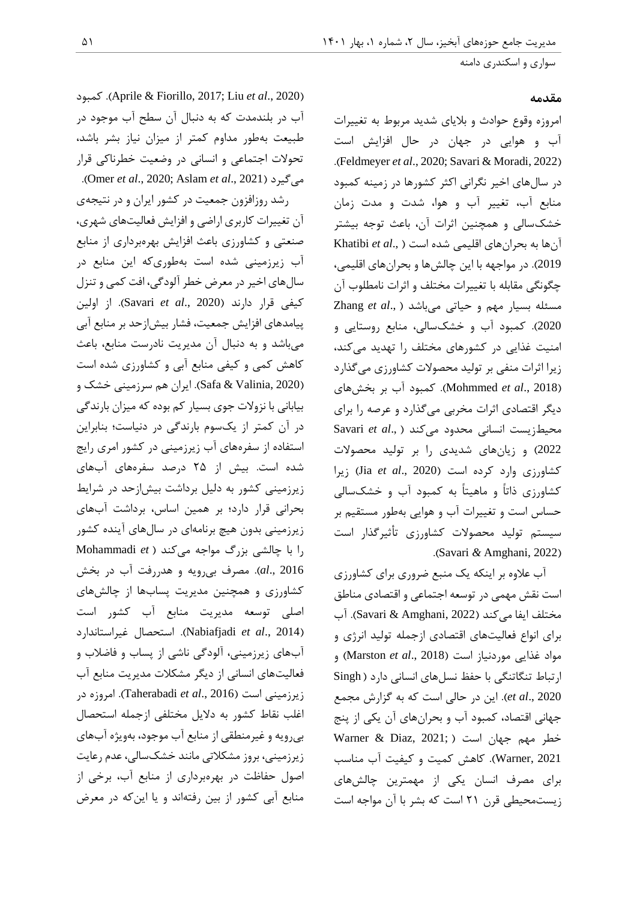### **مقدمه**

امروزه وقوع حوادث و بالیای شدید مربوط به تغییرات آب و هوایی در جهان در حال افزایش است .)Feldmeyer *et al*., 2020; Savari & Moradi, 2022( در سالهای اخیر نگرانی اکثر کشورها در زمینه کمبود منابع آب، تغییر آب و هوا، شدت و مدت زمان خشکسالی و همچنین اثرات آن، باعث توجه بیشتر آنها به بحرانهای اقلیمی شده است ) .,*al et* Khatibi 2019(. در مواجهه با این چالشها و بحرانهای اقلیمی، چگونگی مقابله با تغییرات مختلف و اثرات نامطلوب آن مسئله بسیار مهم و حیاتی میباشد ) .,*al et* Zhang 2020(. کمبود آب و خشکسالی، منابع روستایی و امنیت غذایی در کشورهای مختلف را تهدید میکند، زیرا اثرات منفی بر تولید محصوالت کشاورزی میگذارد )2018 .,*al et* Mohmmed). کمبود آب بر بخشهای دیگر اقتصادی اثرات مخربی میگذارد و عرصه را برای محیطزیست انسانی محدود میکند ) .,*al et* Savari 2022( و زیانهای شدیدی را بر تولید محصوالت کشاورزی وارد کرده است )2020 .,*al et* Jia )زیرا کشاورزی ذاتاً و ماهیتاً به کمبود آب و خشکسالی حساس است و تغییرات آب و هوایی بهطور مستقیم بر سیستم تولید محصوالت کشاورزی تأثیرگذار است .)Savari *&* Amghani, 2022(

آب عالوه بر اینکه یک منبع ضروری برای کشاورزی است نقش مهمی در توسعه اجتماعی و اقتصادی مناطق مختلف ایفا می کند (2022 ,Savari & Amghani). آب برای انواع فعالیتهای اقتصادی ازجمله تولید انرژی و مواد غذایی موردنیاز است )2018 .,*al et* Marston )و ارتباط تنگاتنگی با حفظ نسلهای انسانی دارد ) Singh 2020 .,*al et*). این در حالی است که به گزارش مجمع جهانی اقتصاد، کمبود آب و بحرانهای آن یکی از پنج خطر مهم جهان است ( ;Warner & Diaz, 2021 2021 ,Warner). کاهش کمیت و کیفیت آب مناسب برای مصرف انسان یکی از مهمترین چالشهای زیستمحیطی قرن 21 است که بشر با آن مواجه است

 کمبود .(Aprile & Fiorillo, 2017; Liu *et al*., 2020( آب در بلندمدت که به دنبال آن سطح آب موجود در طبیعت بهطور مداوم کمتر از میزان نیاز بشر باشد، تحوالت اجتماعی و انسانی در وضعیت خطرناکی قرار .)Omer *et al*., 2020; Aslam *et al*., 2021( میگیرد رشد روزافزون جمعیت در کشور ایران و در نتیجهی آن تغییرات کاربری اراضی و افزایش فعالیتهای شهری، صنعتی و کشاورزی باعث افزایش بهرهبرداری از منابع آب زیرزمینی شده است بهطوریکه این منابع در سالهای اخیر در معرض خطر آلودگی، افت کمی و تنزل کیفی قرار دارند )2020 .,*al et* Savari). از اولین پیامدهای افزایش جمعیت، فشار بیشازحد بر منابع آبی میباشد و به دنبال آن مدیریت نادرست منابع، باعث کاهش کمی و کیفی منابع آبی و کشاورزی شده است )2020 ,Valinia & Safa). ایران هم سرزمینی خشک و بیابانی با نزوالت جوی بسیار کم بوده که میزان بارندگی در آن کمتر از یکسوم بارندگی در دنیاست؛ بنابراین استفاده از سفرههای آب زیرزمینی در کشور امری رایج شده است. بیش از 21 درصد سفرههای آبهای

زیرزمینی کشور به دلیل برداشت بیشازحد در شرایط بحرانی قرار دارد؛ بر همین اساس، برداشت آبهای زیرزمینی بدون هیچ برنامهای در سالهای آینده کشور را با چالشی بزرگ مواجه میکند ) *et* Mohammadi 2016 .,*al*). مصرف بیرویه و هدررفت آب در بخش کشاورزی و همچنین مدیریت پسابها از چالشهای اصلی توسعه مدیریت منابع آب کشور است غیراستاندارد استحصال .(Nabiafjadi *et al*., 2014( آبهای زیرزمینی، آلودگی ناشی از پساب و فاضالب و فعالیتهای انسانی از دیگر مشکالت مدیریت منابع آب زیرزمینی است )2016 .,*al et* Taherabadi). امروزه در اغلب نقاط کشور به دالیل مختلفی ازجمله استحصال بیرویه و غیرمنطقی از منابع آب موجود، بهویژه آبهای زیرزمینی، بروز مشکالتی مانند خشکسالی، عدم رعایت اصول حفاظت در بهرهبرداری از منابع آب، برخی از منابع آبی کشور از بین رفتهاند و یا اینکه در معرض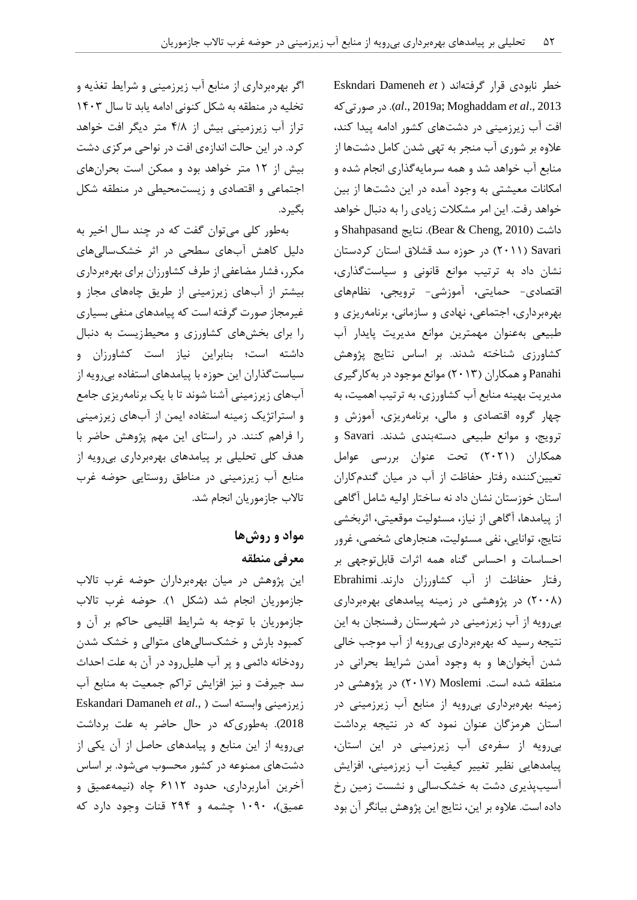اگر بهرهبرداری از منابع آب زیرزمینی و شرایط تغذیه و تخلیه در منطقه به شکل کنونی ادامه یابد تا سال 1040 تراز آب زیرزمینی بیش از 0/2 متر دیگر افت خواهد کرد. در این حالت اندازهی افت در نواحی مرکزی دشت بیش از 12 متر خواهد بود و ممکن است بحرانهای اجتماعی و اقتصادی و زیستمحیطی در منطقه شکل بگیرد.

بهطور کلی میتوان گفت که در چند سال اخیر به دلیل کاهش آبهای سطحی در اثر خشکسالیهای مکرر، فشار مضاعفی از طرف کشاورزان برای بهرهبرداری بیشتر از آبهای زیرزمینی از طریق چاههای مجاز و غیرمجاز صورت گرفته است که پیامدهای منفی بسیاری را برای بخشهای کشاورزی و محیطزیست به دنبال داشته است؛ بنابراین نیاز است کشاورزان و سیاستگذاران این حوزه با پیامدهای استفاده بیرویه از آبهای زیرزمینی آشنا شوند تا با یک برنامهریزی جامع و استراتژیک زمینه استفاده ایمن از آبهای زیرزمینی را فراهم کنند. در راستای این مهم پژوهش حاضر با هدف کلی تحلیلی بر پیامدهای بهرهبرداری بیرویه از منابع آب زیرزمینی در مناطق روستایی حوضه غرب تاالب جازموریان انجام شد.

# **مواد و روشها معرفی منطقه**

این پژوهش در میان بهرهبرداران حوضه غرب تاالب جازموریان انجام شد (شکل ۱). حوضه غرب تالاب جازموریان با توجه به شرایط اقلیمی حاکم بر آن و کمبود بارش و خشکسالیهای متوالی و خشک شدن رودخانه دائمی و پر آب هلیلرود در آن به علت احداث سد جیرفت و نیز افزایش تراکم جمعیت به منابع آب Eskandari Damaneh *et al*., ( است وابسته زیرزمینی 2018(. بهطوریکه در حال حاضر به علت برداشت بیرویه از این منابع و پیامدهای حاصل از آن یکی از دشتهای ممنوعه در کشور محسوب میشود. بر اساس آخرین آماربرداری، حدود 0112 چاه )نیمهعمیق و عمیق)، ۱۰۹۰ چشمه و ۲۹۴ قنات وجود دارد که خطر نابودی قرار گرفتهاند ) *et* Dameneh Eskndari صورتیکه در .(*al*., 2019a; Moghaddam *et al*., 2013 افت آب زیرزمینی در دشتهای کشور ادامه پیدا کند، عالوه بر شوری آب منجر به تهی شدن کامل دشتها از منابع آب خواهد شد و همه سرمایهگذاری انجام شده و امکانات معیشتی به وجود آمده در این دشتها از بین خواهد رفت. این امر مشکالت زیادی را به دنبال خواهد داشت )2010 ,Cheng & Bear). نتایج Shahpasand و Savari( 2411 )در حوزه سد قشالق استان کردستان نشان داد به ترتیب موانع قانونی و سیاستگذاری، اقتصادی- حمایتی، آموزشی- ترویجی، نظامهای بهرهبرداری، اجتماعی، نهادی و سازمانی، برنامهریزی و طبیعی بهعنوان مهمترین موانع مدیریت پایدار آب کشاورزی شناخته شدند. بر اساس نتایج پژوهش Panahi و همکاران )2410( موانع موجود در بهکارگیری مدیریت بهینه منابع آب کشاورزی، به ترتیب اهمیت، به چهار گروه اقتصادی و مالی، برنامهریزی، آموزش و ترویج، و موانع طبیعی دستهبندی شدند. Savari و همکاران )2421( تحت عنوان بررسی عوامل تعیینکننده رفتار حفاظت از آب در میان گندمکاران استان خوزستان نشان داد نه ساختار اولیه شامل آگاهی از پیامدها، آگاهی از نیاز، مسئولیت موقعیتی، اثربخشی نتایج، توانایی، نفی مسئولیت، هنجارهای شخصی، غرور احساسات و احساس گناه همه اثرات قابلتوجهی بر رفتار حفاظت از آب کشاورزان دارند. Ebrahimi )2442( در پژوهشی در زمینه پیامدهای بهرهبرداری بیرویه از آب زیرزمینی در شهرستان رفسنجان به این نتیجه رسید که بهرهبرداری بیرویه از آب موجب خالی شدن آبخوانها و به وجود آمدن شرایط بحرانی در منطقه شده است. Moslemi( 2412 )در پژوهشی در زمینه بهرهبرداری بیرویه از منابع آب زیرزمینی در استان هرمزگان عنوان نمود که در نتیجه برداشت بیرویه از سفرهی آب زیرزمینی در این استان، پیامدهایی نظیر تغییر کیفیت آب زیرزمینی، افزایش آسیبپذیری دشت به خشکسالی و نشست زمین رخ داده است. عالوه بر این، نتایج این پژوهش بیانگر آن بود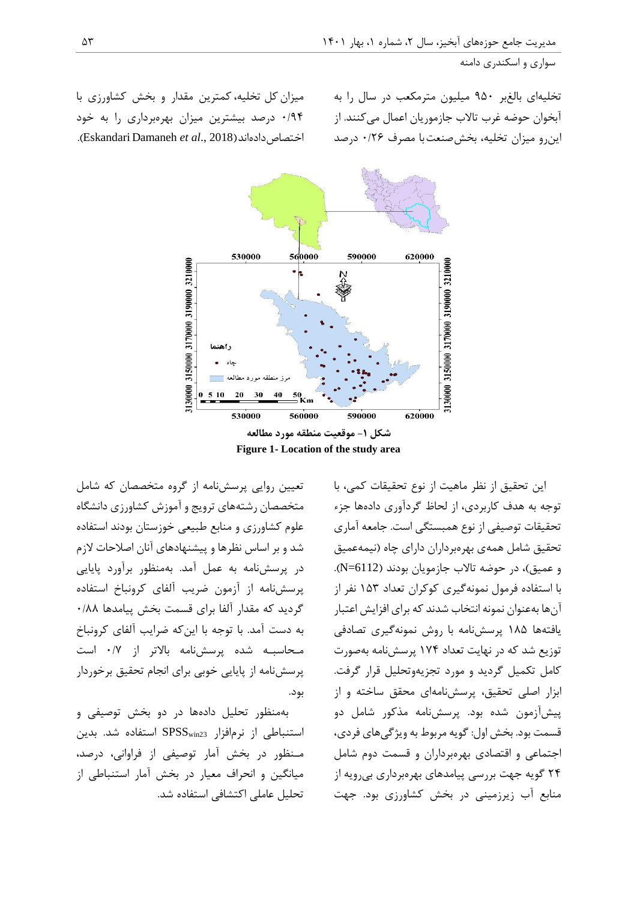سواری و اسکندری دامنه

تخلیهای بالغبر 414 میلیون مترمکعب در سال را به آبخوان حوضه غرب تاالب جازموریان اعمال میکنند. از اینرو میزان تخلیه، بخشصنعتبا مصرف 4/20 درصد

میزان کل تخلیه،کمترین مقدار و بخش کشاورزی با 4/40 درصد بیشترین میزان بهرهبرداری را به خود .)Eskandari Damaneh *et al*., 2018(اختصاصدادهاند



تعیین روایی پرسشنامه از گروه متخصصان که شامل متخصصان رشتههای ترویج و آموزش کشاورزی دانشگاه علوم کشاورزی و منابع طبیعی خوزستان بودند استفاده شد و بر اساس نظرها و پیشنهادهای آنان اصالحات الزم در پرسشنامه به عمل آمد. بهمنظور برآورد پایایی پرسشنامه از آزمون ضریب آلفای کرونباخ استفاده گردید که مقدار آلفا برای قسمت بخش پیامدها 4/22 به دست آمد. با توجه با اینکه ضرایب آلفای کرونباخ مـحاسبـه شده پرسشنامه باالتر از 4/2 است پرسشنامه از پایایی خوبی برای انجام تحقیق برخوردار بود.

بهمنظور تحلیل دادهها در دو بخش توصیفی و استنباطی از نرمافزار 23SPSSwin استفاده شد. بدین مـنظور در بخش آمار توصیفی از فراوانی، درصد، میانگین و انحراف معیار در بخش آمار استنباطی از تحلیل عاملی اکتشافی استفاده شد.

این تحقیق از نظر ماهیت از نوع تحقیقات کمی، با توجه به هدف کاربردی، از لحاظ گردآوری دادهها جزء تحقیقات توصیفی از نوع همبستگی است. جامعه آماری تحقیق شامل همهی بهرهبرداران دارای چاه )نیمهعمیق و عمیق(، در حوضه تاالب جازمویان بودند )6112=N). با استفاده فرمول نمونهگیری کوکران تعداد 110 نفر از آنها بهعنوان نمونه انتخاب شدند که برای افزایش اعتبار یافتهها 121 پرسشنامه با روش نمونهگیری تصادفی توزیع شد که در نهایت تعداد 120 پرسشنامه بهصورت کامل تکمیل گردید و مورد تجزیهوتحلیل قرار گرفت. ابزار اصلی تحقیق، پرسشنامهای محقق ساخته و از پیشآزمون شده بود. پرسشنامه مذکور شامل دو قسمت بود. بخش اول: گویه مربوط به ویژگیهای فردی، اجتماعی و اقتصادی بهرهبرداران و قسمت دوم شامل 20 گویه جهت بررسی پیامدهای بهرهبرداری بیرویه از منابع آب زیرزمینی در بخش کشاورزی بود. جهت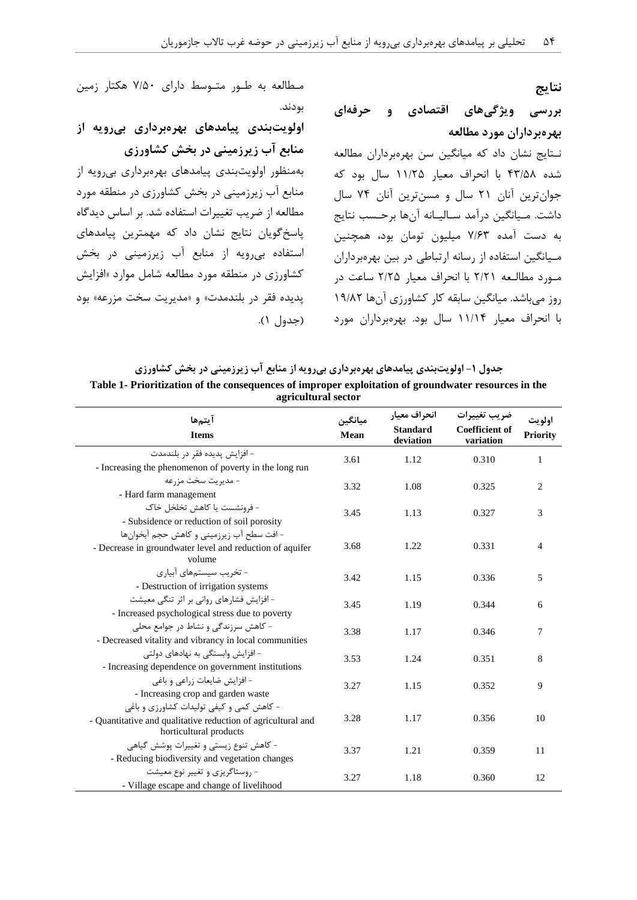**نتایج**

# **بررسی ویژگیهای اقتصادی و حرفهای بهرهبرداران مورد مطالعه**

نـتایج نشان داد که میانگین سن بهرهبرداران مطالعه شده 00/12 با انحراف معیار 11/21 سال بود که جوانترین آنان 21 سال و مسنترین آنان 20 سال داشت. مـیانگین درآمد سـالیـانه آنها برحـسب نتایج به دست آمده 2/00 میلیون تومان بود، همچنین مـیانگین استفاده از رسانه ارتباطی در بین بهرهبرداران مـورد مطالـعه 2/21 با انحراف معیار 2/21 ساعت در روز میباشد. میانگین سابقه کار کشاورزی آنها 14/22 با انحراف معیار 11/10 سال بود. بهرهبرداران مورد

مـطالعه به طـور متـوسط دارای 2/14 هکتار زمین بودند.

**اولویتبندی پیامدهای بهرهبرداری بیرویه از منابع آب زیرزمینی در بخش کشاورزی** بهمنظور اولویتبندی پیامدهای بهرهبرداری بیرویه از منابع آب زیرزمینی در بخش کشاورزی در منطقه مورد مطالعه از ضریب تغییرات استفاده شد. بر اساس دیدگاه پاسخگویان نتایج نشان داد که مهمترین پیامدهای استفاده بیرویه از منابع آب زیرزمینی در بخش کشاورزی در منطقه مورد مطالعه شامل موارد »افزایش پدیده فقر در بلندمدت« و »مدیریت سخت مزرعه« بود )جدول 1(.

| جدول ۱- اولویتبندی پیامدهای بهرهبرداری بیرویه از منابع آب زیرزمینی در بخش کشاورزی                    |
|------------------------------------------------------------------------------------------------------|
| Table 1- Prioritization of the consequences of improper exploitation of groundwater resources in the |
| agricultural sector                                                                                  |

| آيتمها<br><b>Items</b>                                                                                                             | ميانگين<br>Mean | انحراف معيار<br><b>Standard</b><br>deviation | ضريب تغييرات<br><b>Coefficient of</b><br>variation | اولويت<br><b>Priority</b> |
|------------------------------------------------------------------------------------------------------------------------------------|-----------------|----------------------------------------------|----------------------------------------------------|---------------------------|
| – افزايش يديده فقر در بلندمدت<br>- Increasing the phenomenon of poverty in the long run                                            | 3.61            | 1.12                                         | 0.310                                              | 1                         |
| – مديريت سخت مزرعه<br>- Hard farm management                                                                                       | 3.32            | 1.08                                         | 0.325                                              | $\overline{c}$            |
| - فرونشست يا كاهش تخلخل خاك<br>- Subsidence or reduction of soil porosity                                                          | 3.45            | 1.13                                         | 0.327                                              | 3                         |
| - افت سطح آب زيرزميني و كاهش حجم آبخوانها<br>- Decrease in groundwater level and reduction of aquifer<br>volume                    | 3.68            | 1.22                                         | 0.331                                              | 4                         |
| - تخریب سیستمهای آبیاری<br>- Destruction of irrigation systems                                                                     | 3.42            | 1.15                                         | 0.336                                              | 5                         |
| - افزایش فشارهای روانی بر اثر تنگی معیشت<br>- Increased psychological stress due to poverty                                        | 3.45            | 1.19                                         | 0.344                                              | 6                         |
| – کاهش سرزندگی و نشاط در جوامع محلی<br>- Decreased vitality and vibrancy in local communities                                      | 3.38            | 1.17                                         | 0.346                                              | 7                         |
| – افزایش وابستگی به نهادهای دولتی<br>- Increasing dependence on government institutions                                            | 3.53            | 1.24                                         | 0.351                                              | 8                         |
| - افزایش ضایعات زراعی و باغی<br>- Increasing crop and garden waste                                                                 | 3.27            | 1.15                                         | 0.352                                              | 9                         |
| - کاهش کمی و کیفی تولیدات کشاورزی و باغی<br>- Quantitative and qualitative reduction of agricultural and<br>horticultural products | 3.28            | 1.17                                         | 0.356                                              | 10                        |
| - کاهش تنوع زیستی و تغییرات پوشش گیاهی<br>- Reducing biodiversity and vegetation changes                                           | 3.37            | 1.21                                         | 0.359                                              | 11                        |
| - روستاگریزی و تغییر نوع معیشت<br>- Village escape and change of livelihood                                                        | 3.27            | 1.18                                         | 0.360                                              | 12                        |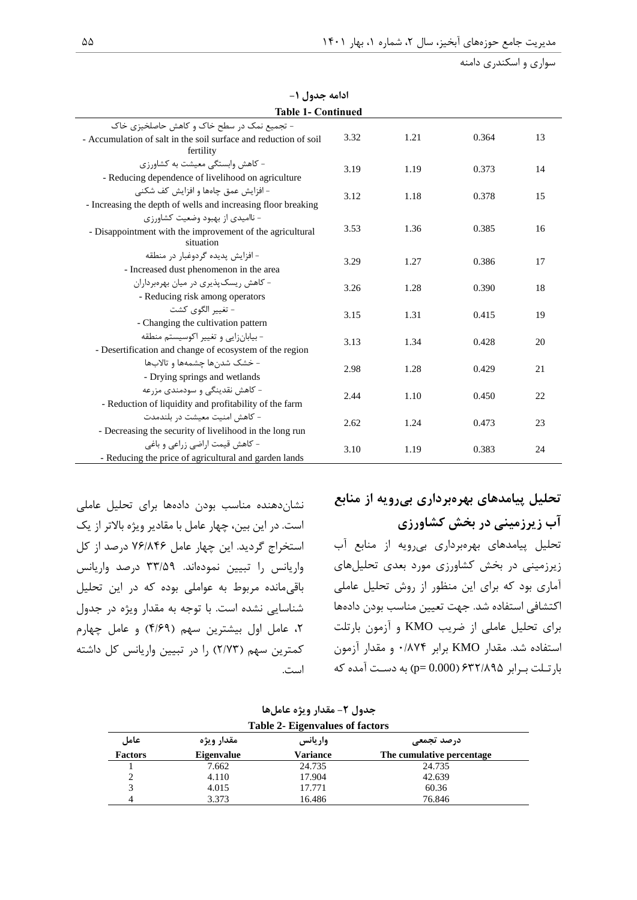سواری و اسکندری دامنه

| , UJ--, --, -                                                                                              |      |      |       |    |
|------------------------------------------------------------------------------------------------------------|------|------|-------|----|
| <b>Table 1- Continued</b>                                                                                  |      |      |       |    |
| - تجمیع نمک در سطح خاک و کاهش حاصلخیزی خاک                                                                 |      |      |       |    |
| - Accumulation of salt in the soil surface and reduction of soil<br>fertility                              | 3.32 | 1.21 | 0.364 | 13 |
| - کاهش وابستگی معیشت به کشاورزی<br>- Reducing dependence of livelihood on agriculture                      | 3.19 | 1.19 | 0.373 | 14 |
| – افزایش عمق چاهها و افزایش کف شکنی<br>- Increasing the depth of wells and increasing floor breaking       | 3.12 | 1.18 | 0.378 | 15 |
| – ناامیدی از بهبود وضعیت کشاورزی<br>- Disappointment with the improvement of the agricultural<br>situation | 3.53 | 1.36 | 0.385 | 16 |
| – افزایش پدیده گردوغبار در منطقه<br>- Increased dust phenomenon in the area                                | 3.29 | 1.27 | 0.386 | 17 |
| - کاهش ریسک پذیری در میان بهرهبرداران<br>- Reducing risk among operators                                   | 3.26 | 1.28 | 0.390 | 18 |
| - تغيير الگوي كشت<br>- Changing the cultivation pattern                                                    | 3.15 | 1.31 | 0.415 | 19 |
| - بيابانزايي وتغيير اكوسيستم منطقه<br>- Desertification and change of ecosystem of the region              | 3.13 | 1.34 | 0.428 | 20 |
| – خشک شدنها چشمهها و تالابها<br>- Drying springs and wetlands                                              | 2.98 | 1.28 | 0.429 | 21 |
| - کاهش نقدینگی و سودمندی مزرعه<br>- Reduction of liquidity and profitability of the farm                   | 2.44 | 1.10 | 0.450 | 22 |
| - كاهش امنىت معىشت در بلندمدت<br>- Decreasing the security of livelihood in the long run                   | 2.62 | 1.24 | 0.473 | 23 |
| - کاهش قیمت اراضی زراعی و باغی<br>- Reducing the price of agricultural and garden lands                    | 3.10 | 1.19 | 0.383 | 24 |

**ادامه جدول -1**

نشاندهنده مناسب بودن دادهها برای تحلیل عاملی است. در این بین، چهار عامل با مقادیر ویژه باالتر از یک استخراج گردید. این چهار عامل 20/200 درصد از کل واریانس را تبیین نمودهاند. 00/14 درصد واریانس باقیمانده مربوط به عواملی بوده که در این تحلیل شناسایی نشده است. با توجه به مقدار ویژه در جدول ،2 عامل اول بیشترین سهم )0/04( و عامل چهارم کمترین سهم )2/20( را در تبیین واریانس کل داشته است. **تحلیل پیامدهای بهرهبرداری بیرویه از منابع آب زیرزمینی در بخش کشاورزی**

تحلیل پیامدهای بهرهبرداری بیرویه از منابع آب زیرزمینی در بخش کشاورزی مورد بعدی تحلیلهای آماری بود که برای این منظور از روش تحلیل عاملی اکتشافی استفاده شد. جهت تعیین مناسب بودن دادهها برای تحلیل عاملی از ضریب KMO و آزمون بارتلت استفاده شد. مقدار KMO برابر 4/220 و مقدار آزمون بارتـلت بـرابر ۶۳۲/۸۹۵ (p= 0.000) به دسـت آمده که

| جدول ٢- مقدار ويژه عاملها              |
|----------------------------------------|
| <b>Table 2- Eigenvalues of factors</b> |

| مقدار ويژه        | واريانس  | درصد تجمعی                |                                                            |  |
|-------------------|----------|---------------------------|------------------------------------------------------------|--|
| <b>Eigenvalue</b> | Variance | The cumulative percentage |                                                            |  |
| 7.662             | 24.735   | 24.735                    |                                                            |  |
| 4.110             | 17.904   | 42.639                    |                                                            |  |
| 4.015             | 17.771   | 60.36                     |                                                            |  |
| 3.373             | 16.486   | 76.846                    |                                                            |  |
|                   |          |                           | $1400 \times 2 = 1460 \times 1400 \times 1400 \times 1400$ |  |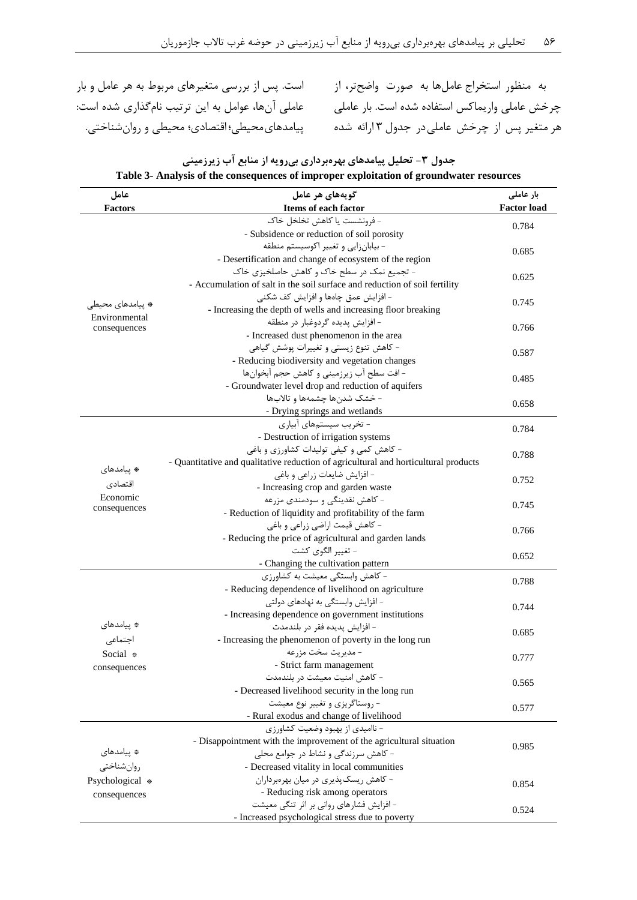است. پس از بررسی متغیرهای مربوط به هر عامل و بار عاملی آنها، عوامل به این ترتیب نامگذاری شده است:

به منظور استخراج عاملها به صورت واضحتر، از چرخش عاملی واریماکس استفاده شده است. بار عاملی هر متغیر پس از چرخش عاملیدر جدول 0 ارائه شده پیامدهایمحیطی؛ اقتصادی؛ محیطی و روانشناختی.

| عامل             | گويەھاي ھر عامل                                                                     | بار عاملی          |  |
|------------------|-------------------------------------------------------------------------------------|--------------------|--|
| <b>Factors</b>   | Items of each factor                                                                | <b>Factor load</b> |  |
|                  | - فرونشست یا کاهش تخلخل خاک                                                         | 0.784              |  |
|                  | - Subsidence or reduction of soil porosity                                          |                    |  |
|                  | - بيابان; ايي و تغيير اكوسيستم منطقه                                                | 0.685              |  |
|                  | - Desertification and change of ecosystem of the region                             |                    |  |
|                  | - تجمیع نمک در سطح خاک و کاهش حاصلخیزی خاک                                          | 0.625              |  |
|                  | - Accumulation of salt in the soil surface and reduction of soil fertility          |                    |  |
| * پیامدهای محیطی | - افزایش عمق چاهها و افزایش کف شکنی                                                 | 0.745              |  |
| Environmental    | - Increasing the depth of wells and increasing floor breaking                       |                    |  |
| consequences     | - افزایش پدیده گردوغبار در منطقه                                                    | 0.766              |  |
|                  | - Increased dust phenomenon in the area                                             |                    |  |
|                  | - کاهش تنوع زیستی و تغییرات پوشش گیاهی                                              | 0.587              |  |
|                  | - Reducing biodiversity and vegetation changes                                      |                    |  |
|                  | - افت سطح آب زیرزمینی و کاهش حجم آبخوانها                                           | 0.485              |  |
|                  | - Groundwater level drop and reduction of aquifers                                  |                    |  |
|                  | - خشک شدنها چشمهها و تالابها                                                        |                    |  |
|                  | - Drying springs and wetlands                                                       | 0.658              |  |
|                  | - تخریب سیستمهای آبیاری                                                             |                    |  |
|                  | - Destruction of irrigation systems                                                 | 0.784              |  |
|                  | - کاهش کمی و کیفی تولیدات کشاورزی و باغی                                            |                    |  |
|                  | - Quantitative and qualitative reduction of agricultural and horticultural products | 0.788              |  |
| * پیامدهای       | - افزایش ضایعات زراعی و باغی                                                        |                    |  |
| اقتصادى          | - Increasing crop and garden waste                                                  | 0.752              |  |
| Economic         | - کاهش نقدینگی و سودمندی مزرعه                                                      |                    |  |
| consequences     | - Reduction of liquidity and profitability of the farm                              | 0.745              |  |
|                  | - كاهش قيمت اراضي زراعي و باغي                                                      |                    |  |
|                  | - Reducing the price of agricultural and garden lands                               | 0.766              |  |
|                  | - تغيير الگوي كشت                                                                   |                    |  |
|                  | - Changing the cultivation pattern                                                  | 0.652              |  |
|                  | - كاهش وابستگى معيشت به كشاورزى                                                     |                    |  |
|                  |                                                                                     | 0.788              |  |
|                  | - Reducing dependence of livelihood on agriculture                                  |                    |  |
|                  | – افزایش وابستگی به نهادهای دولتی                                                   | 0.744              |  |
| * پیامدهای       | - Increasing dependence on government institutions                                  |                    |  |
|                  | - افزايش پديده فقر در بلندمدت                                                       | 0.685              |  |
| اجتماعى          | - Increasing the phenomenon of poverty in the long run                              |                    |  |
| Social *         | - مديريت سخت مزرعه                                                                  | 0.777              |  |
| consequences     | - Strict farm management                                                            |                    |  |
|                  | - كاهش امنيت معيشت در بلندمدت                                                       | 0.565              |  |
|                  | - Decreased livelihood security in the long run                                     |                    |  |
|                  | - ,وستاگريزي و تغيير نوع معيشت                                                      | 0.577              |  |
|                  | - Rural exodus and change of livelihood                                             |                    |  |
|                  | - ناامیدی از بهبود وضعیت کشاورزی                                                    |                    |  |
| * ييامدهای       | - Disappointment with the improvement of the agricultural situation                 | 0.985              |  |
|                  | - کاهش سرزندگی و نشاط در جوامع محلی                                                 |                    |  |
| روان شناختى      | - Decreased vitality in local communities                                           |                    |  |
| Psychological *  | - کاهش ریسکپذیری در میان بهرهبرداران                                                | 0.854              |  |
| consequences     | - Reducing risk among operators                                                     |                    |  |
|                  | - افزایش فشارهای روانی بر اثر تنگی معیشت                                            | 0.524              |  |
|                  | - Increased psychological stress due to poverty                                     |                    |  |

**جدول -2 تحلیل پیامدهای بهرهبرداری بیرویه از منابع آب زیرزمینی Table 3- Analysis of the consequences of improper exploitation of groundwater resources**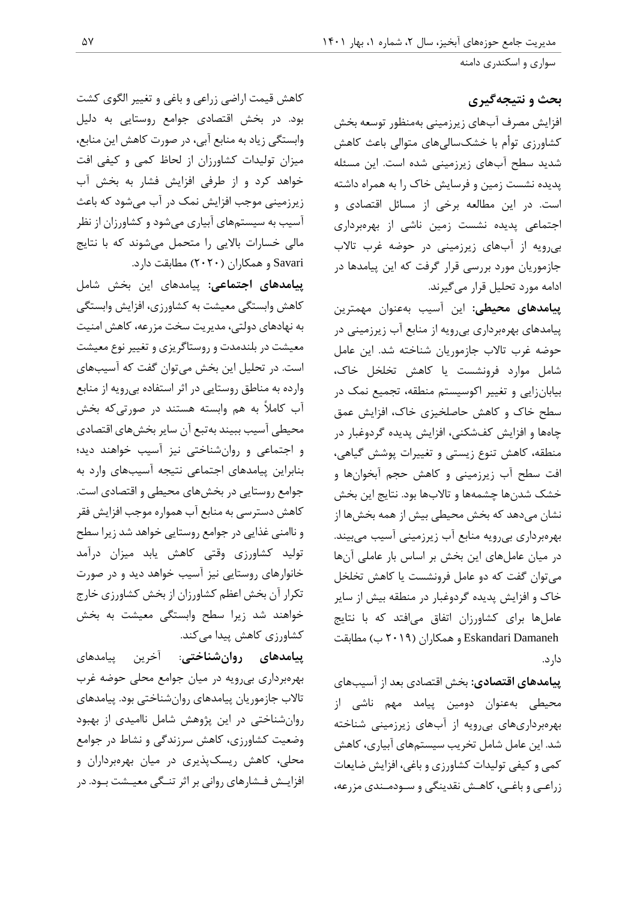سواری و اسکندری دامنه

**بحث و نتیجهگیری**

افزایش مصرف آبهای زیرزمینی بهمنظور توسعه بخش کشاورزی توأم با خشکسالیهای متوالی باعث کاهش شدید سطح آبهای زیرزمینی شده است. این مسئله پدیده نشست زمین و فرسایش خاک را به همراه داشته است. در این مطالعه برخی از مسائل اقتصادی و اجتماعی پدیده نشست زمین ناشی از بهرهبرداری بیرویه از آبهای زیرزمینی در حوضه غرب تاالب جازموریان مورد بررسی قرار گرفت که این پیامدها در ادامه مورد تحلیل قرار میگیرند.

**پیامدهای محیطی:** این آسیب بهعنوان مهمترین پیامدهای بهرهبرداری بیرویه از منابع آب زیرزمینی در حوضه غرب تاالب جازموریان شناخته شد. این عامل شامل موارد فرونشست یا کاهش تخلخل خاک، بیابانزایی و تغییر اکوسیستم منطقه، تجمیع نمک در سطح خاک و کاهش حاصلخیزی خاک، افزایش عمق چاهها و افزایش کفشکنی، افزایش پدیده گردوغبار در منطقه، کاهش تنوع زیستی و تغییرات پوشش گیاهی، افت سطح آب زیرزمینی و کاهش حجم آبخوانها و خشک شدنها چشمهها و تاالبها بود. نتایج این بخش نشان میدهد که بخش محیطی بیش از همه بخشها از بهرهبرداری بیرویه منابع آب زیرزمینی آسیب میبیند. در میان عاملهای این بخش بر اساس بار عاملی آنها میتوان گفت که دو عامل فرونشست یا کاهش تخلخل خاک و افزایش پدیده گردوغبار در منطقه بیش از سایر عاملها برای کشاورزان اتفاق میافتد که با نتایج Damaneh Eskandari و همکاران )2414 ب( مطابقت دارد.

**پیامدهای اقتصادی:** بخش اقتصادی بعد از آسیبهای محیطی بهعنوان دومین پیامد مهم ناشی از بهرهبرداریهای بیرویه از آبهای زیرزمینی شناخته شد. این عامل شامل تخریب سیستمهای آبیاری، کاهش کمی و کیفی تولیدات کشاورزی و باغی، افزایش ضایعات زراعـی و باغـی، کاهـش نقدینگی و سـودمـندی مزرعه،

کاهش قیمت اراضی زراعی و باغی و تغییر الگوی کشت بود. در بخش اقتصادی جوامع روستایی به دلیل وابستگی زیاد به منابع آبی، در صورت کاهش این منابع، میزان تولیدات کشاورزان از لحاظ کمی و کیفی افت خواهد کرد و از طرفی افزایش فشار به بخش آب زیرزمینی موجب افزایش نمک در آب میشود که باعث آسیب به سیستمهای آبیاری میشود و کشاورزان از نظر مالی خسارات باالیی را متحمل میشوند که با نتایج Savari و همکاران )2424( مطابقت دارد.

**پیامدهای اجتماعی:** پیامدهای این بخش شامل کاهش وابستگی معیشت به کشاورزی، افزایش وابستگی به نهادهای دولتی، مدیریت سخت مزرعه، کاهش امنیت معیشت در بلندمدت و روستاگریزی و تغییر نوع معیشت است. در تحلیل این بخش میتوان گفت که آسیبهای وارده به مناطق روستایی در اثر استفاده بیرویه از منابع آب کامالً به هم وابسته هستند در صورتیکه بخش محیطی آسیب ببیند بهتبع آن سایر بخشهای اقتصادی و اجتماعی و روانشناختی نیز آسیب خواهند دید؛ بنابراین پیامدهای اجتماعی نتیجه آسیبهای وارد به جوامع روستایی در بخشهای محیطی و اقتصادی است. کاهش دسترسی به منابع آب همواره موجب افزایش فقر و ناامنی غذایی در جوامع روستایی خواهد شد زیرا سطح تولید کشاورزی وقتی کاهش یابد میزان درآمد خانوارهای روستایی نیز آسیب خواهد دید و در صورت تکرار آن بخش اعظم کشاورزان از بخش کشاورزی خارج خواهند شد زیرا سطح وابستگی معیشت به بخش کشاورزی کاهش پیدا میکند.

**پیامدهای روانشناختی**: آخرین پیامدهای بهرهبرداری بیرویه در میان جوامع محلی حوضه غرب تاالب جازموریان پیامدهای روانشناختی بود. پیامدهای روانشناختی در این پژوهش شامل ناامیدی از بهبود وضعیت کشاورزی، کاهش سرزندگی و نشاط در جوامع محلی، کاهش ریسکپذیری در میان بهرهبرداران و افزایـش فـشارهای روانی بر اثر تنـگی معیـشت بـود. در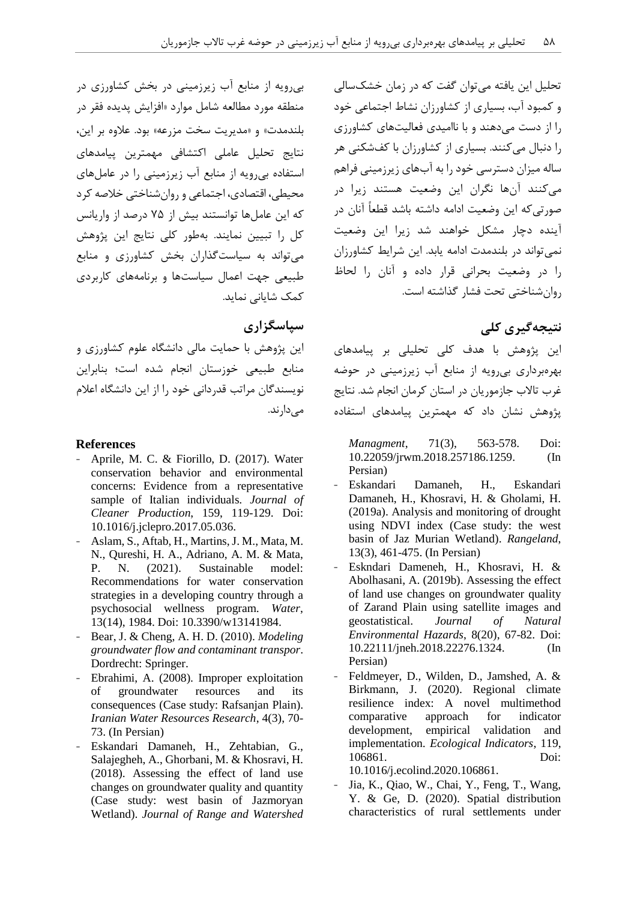تحلیل این یافته میتوان گفت که در زمان خشکسالی و کمبود آب، بسیاری از کشاورزان نشاط اجتماعی خود را از دست میدهند و با ناامیدی فعالیتهای کشاورزی را دنبال میکنند. بسیاری از کشاورزان با کفشکنی هر ساله میزان دسترسی خود را به آبهای زیرزمینی فراهم میکنند آنها نگران این وضعیت هستند زیرا در صورتیکه این وضعیت ادامه داشته باشد قطعاً آنان در آینده دچار مشکل خواهند شد زیرا این وضعیت نمیتواند در بلندمدت ادامه یابد. این شرایط کشاورزان را در وضعیت بحرانی قرار داده و آنان را لحاظ روانشناختی تحت فشار گذاشته است.

## **نتیجهگیری کلی**

این پژوهش با هدف کلی تحلیلی بر پیامدهای بهرهبرداری بیرویه از منابع آب زیرزمینی در حوضه غرب تاالب جازموریان در استان کرمان انجام شد. نتایج پژوهش نشان داد که مهمترین پیامدهای استفاده

*Managment*, 71(3), 563-578. Doi: 10.22059/jrwm.2018.257186.1259. (In Persian)

- Eskandari Damaneh, H., Eskandari Damaneh, H., Khosravi, H. & Gholami, H. (2019a). Analysis and monitoring of drought using NDVI index (Case study: the west basin of Jaz Murian Wetland). *Rangeland*, 13(3), 461-475. (In Persian)
- Eskndari Dameneh, H., Khosravi, H. & Abolhasani, A. (2019b). Assessing the effect of land use changes on groundwater quality of Zarand Plain using satellite images and geostatistical. *Journal of Natural Environmental Hazards*, 8(20), 67-82. Doi: 10.22111/jneh.2018.22276.1324. (In Persian)
- Feldmeyer, D., Wilden, D., Jamshed, A. & Birkmann, J. (2020). Regional climate resilience index: A novel multimethod comparative approach for indicator development, empirical validation and implementation. *Ecological Indicators*, 119, 106861. Doi:

10.1016/j.ecolind.2020.106861.

Jia, K., Qiao, W., Chai, Y., Feng, T., Wang, Y. & Ge, D. (2020). Spatial distribution characteristics of rural settlements under

بیرویه از منابع آب زیرزمینی در بخش کشاورزی در منطقه مورد مطالعه شامل موارد »افزایش پدیده فقر در بلندمدت» و «مدیریت سخت مزرعه» بود. علاوه بر این، نتایج تحلیل عاملی اکتشافی مهمترین پیامدهای استفاده بیرویه از منابع آب زیرزمینی را در عاملهای محیطی، اقتصادی، اجتماعی و روانشناختی خالصه کرد که این عاملها توانستند بیش از 21 درصد از واریانس کل را تبیین نمایند. بهطور کلی نتایج این پژوهش میتواند به سیاستگذاران بخش کشاورزی و منابع طبیعی جهت اعمال سیاستها و برنامههای کاربردی کمک شایانی نماید.

## **سپاسگزاری**

این پژوهش با حمایت مالی دانشگاه علوم کشاورزی و منابع طبیعی خوزستان انجام شده است؛ بنابراین نویسندگان مراتب قدردانی خود را از این دانشگاه اعالم میدارند.

### **References**

- Aprile, M. C. & Fiorillo, D. (2017). Water conservation behavior and environmental concerns: Evidence from a representative sample of Italian individuals*. Journal of Cleaner Production*, 159, 119-129. Doi: 10.1016/j.jclepro.2017.05.036.
- Aslam, S., Aftab, H., Martins, J. M., Mata, M. N., Qureshi, H. A., Adriano, A. M. & Mata, P. N. (2021). Sustainable model: Recommendations for water conservation strategies in a developing country through a psychosocial wellness program. *Water*, 13(14), 1984. Doi: 10.3390/w13141984.
- Bear, J. & Cheng, A. H. D. (2010). *Modeling groundwater flow and contaminant transpor*. Dordrecht: Springer.
- Ebrahimi, A. (2008). Improper exploitation of groundwater resources and its consequences (Case study: Rafsanjan Plain). *Iranian Water Resources Research*, 4(3), 70- 73. (In Persian)
- Eskandari Damaneh, H., Zehtabian, G., Salajegheh, A., Ghorbani, M. & Khosravi, H. (2018). Assessing the effect of land use changes on groundwater quality and quantity (Case study: west basin of Jazmoryan Wetland). *Journal of Range and Watershed*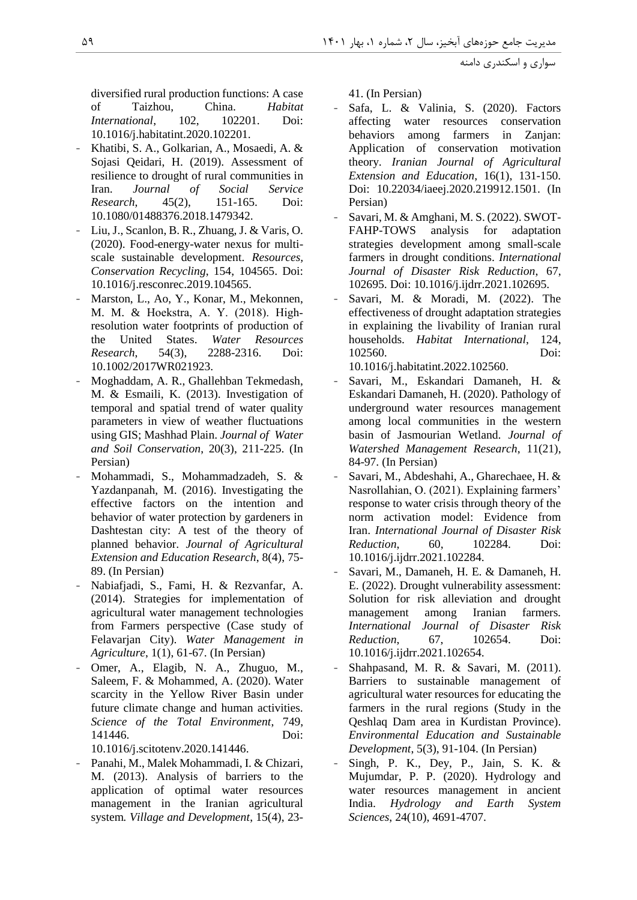مدیریت جامع حوزههای آبخیز، سال ۲، شماره ۱، بهار ۱۴۰۱ ۱۴۰۱ 141 142 145 145 146 146 147 148 149 149 149 149 149 1

سواری و اسکندری دامنه

diversified rural production functions: A case of Taizhou, China. *Habitat International*, 102, 102201. Doi: 10.1016/j.habitatint.2020.102201.

- Khatibi, S. A., Golkarian, A., Mosaedi, A. & Sojasi Qeidari, H. (2019). Assessment of resilience to drought of rural communities in Iran. *Journal of Social Service Research*, 45(2), 151-165. Doi: 10.1080/01488376.2018.1479342.
- Liu, J., Scanlon, B. R., Zhuang, J. & Varis, O. (2020). Food-energy-water nexus for multiscale sustainable development. *Resources, Conservation Recycling*, 154, 104565. Doi: 10.1016/j.resconrec.2019.104565.
- Marston, L., Ao, Y., Konar, M., Mekonnen, M. M. & Hoekstra, A. Y. (2018). High‐ resolution water footprints of production of the United States. *Water Resources Research*, 54(3), 2288-2316. Doi: 10.1002/2017WR021923.
- Moghaddam, A. R., Ghallehban Tekmedash, M. & Esmaili, K. (2013). Investigation of temporal and spatial trend of water quality parameters in view of weather fluctuations using GIS; Mashhad Plain. *Journal of Water and Soil Conservation*, 20(3), 211-225. (In Persian)
- Mohammadi, S., Mohammadzadeh, S. & Yazdanpanah, M. (2016). Investigating the effective factors on the intention and behavior of water protection by gardeners in Dashtestan city: A test of the theory of planned behavior. *Journal of Agricultural Extension and Education Research*, 8(4), 75- 89. (In Persian)
- Nabiafjadi, S., Fami, H. & Rezvanfar, A. (2014). Strategies for implementation of agricultural water management technologies from Farmers perspective (Case study of Felavarjan City). *Water Management in Agriculture*, 1(1), 61-67. (In Persian)
- Omer, A., Elagib, N. A., Zhuguo, M., Saleem, F. & Mohammed, A. (2020). Water scarcity in the Yellow River Basin under future climate change and human activities. *Science of the Total Environment*, 749, 141446. Doi:

10.1016/j.scitotenv.2020.141446.

Panahi, M., Malek Mohammadi, I. & Chizari, M. (2013). Analysis of barriers to the application of optimal water resources management in the Iranian agricultural system*. Village and Development*, 15(4), 2341. (In Persian)

- Safa, L. & Valinia, S. (2020). Factors affecting water resources conservation behaviors among farmers in Zanjan: Application of conservation motivation theory. *Iranian Journal of Agricultural Extension and Education*, 16(1), 131-150. Doi: 10.22034/iaeej.2020.219912.1501. (In Persian)
- Savari, M. & Amghani, M. S. (2022). SWOT-FAHP-TOWS analysis for adaptation strategies development among small-scale farmers in drought conditions. *International Journal of Disaster Risk Reduction*, 67, 102695. Doi: 10.1016/j.ijdrr.2021.102695.
- Savari, M. & Moradi, M. (2022). The effectiveness of drought adaptation strategies in explaining the livability of Iranian rural households. *Habitat International*, 124, 102560. Doi: 10.1016/j.habitatint.2022.102560.
- Savari, M., Eskandari Damaneh, H. & Eskandari Damaneh, H. (2020). Pathology of underground water resources management among local communities in the western basin of Jasmourian Wetland*. Journal of Watershed Management Research*, 11(21), 84-97. (In Persian)
- Savari, M., Abdeshahi, A., Gharechaee, H. & Nasrollahian, O. (2021). Explaining farmers' response to water crisis through theory of the norm activation model: Evidence from Iran. *International Journal of Disaster Risk Reduction*, 60, 102284. Doi: 10.1016/j.ijdrr.2021.102284.
- Savari, M., Damaneh, H. E. & Damaneh, H. E. (2022). Drought vulnerability assessment: Solution for risk alleviation and drought management among Iranian farmers*. International Journal of Disaster Risk Reduction*, 67, 102654. Doi: 10.1016/j.ijdrr.2021.102654.
- Shahpasand, M. R. & Savari, M. (2011). Barriers to sustainable management of agricultural water resources for educating the farmers in the rural regions (Study in the Qeshlaq Dam area in Kurdistan Province). *Environmental Education and Sustainable Development*, 5(3), 91-104. (In Persian)
- Singh, P. K., Dey, P., Jain, S. K. & Mujumdar, P. P. (2020). Hydrology and water resources management in ancient India. *Hydrology and Earth System Sciences*, 24(10), 4691-4707.